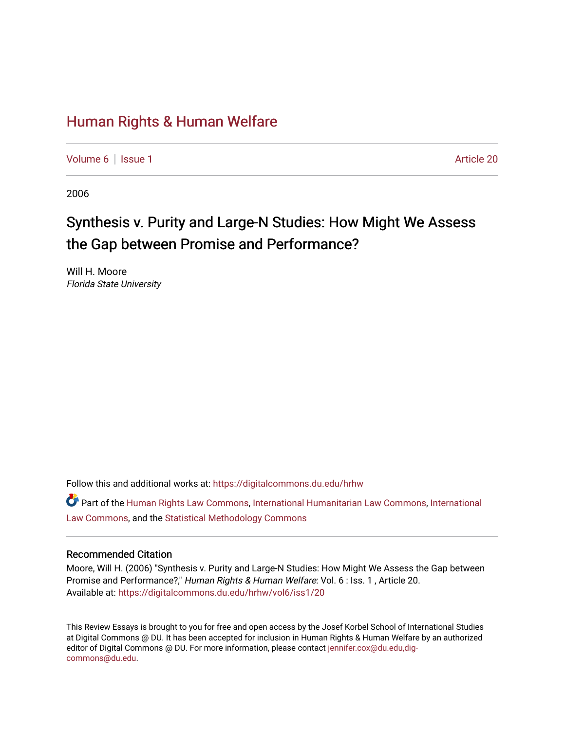## [Human Rights & Human Welfare](https://digitalcommons.du.edu/hrhw)

[Volume 6](https://digitalcommons.du.edu/hrhw/vol6) | [Issue 1](https://digitalcommons.du.edu/hrhw/vol6/iss1) Article 20

2006

# Synthesis v. Purity and Large-N Studies: How Might We Assess the Gap between Promise and Performance?

Will H. Moore Florida State University

Follow this and additional works at: [https://digitalcommons.du.edu/hrhw](https://digitalcommons.du.edu/hrhw?utm_source=digitalcommons.du.edu%2Fhrhw%2Fvol6%2Fiss1%2F20&utm_medium=PDF&utm_campaign=PDFCoverPages)

Part of the [Human Rights Law Commons,](http://network.bepress.com/hgg/discipline/847?utm_source=digitalcommons.du.edu%2Fhrhw%2Fvol6%2Fiss1%2F20&utm_medium=PDF&utm_campaign=PDFCoverPages) [International Humanitarian Law Commons](http://network.bepress.com/hgg/discipline/1330?utm_source=digitalcommons.du.edu%2Fhrhw%2Fvol6%2Fiss1%2F20&utm_medium=PDF&utm_campaign=PDFCoverPages), [International](http://network.bepress.com/hgg/discipline/609?utm_source=digitalcommons.du.edu%2Fhrhw%2Fvol6%2Fiss1%2F20&utm_medium=PDF&utm_campaign=PDFCoverPages) [Law Commons,](http://network.bepress.com/hgg/discipline/609?utm_source=digitalcommons.du.edu%2Fhrhw%2Fvol6%2Fiss1%2F20&utm_medium=PDF&utm_campaign=PDFCoverPages) and the [Statistical Methodology Commons](http://network.bepress.com/hgg/discipline/213?utm_source=digitalcommons.du.edu%2Fhrhw%2Fvol6%2Fiss1%2F20&utm_medium=PDF&utm_campaign=PDFCoverPages) 

### Recommended Citation

Moore, Will H. (2006) "Synthesis v. Purity and Large-N Studies: How Might We Assess the Gap between Promise and Performance?," Human Rights & Human Welfare: Vol. 6 : Iss. 1 , Article 20. Available at: [https://digitalcommons.du.edu/hrhw/vol6/iss1/20](https://digitalcommons.du.edu/hrhw/vol6/iss1/20?utm_source=digitalcommons.du.edu%2Fhrhw%2Fvol6%2Fiss1%2F20&utm_medium=PDF&utm_campaign=PDFCoverPages) 

This Review Essays is brought to you for free and open access by the Josef Korbel School of International Studies at Digital Commons @ DU. It has been accepted for inclusion in Human Rights & Human Welfare by an authorized editor of Digital Commons @ DU. For more information, please contact [jennifer.cox@du.edu,dig](mailto:jennifer.cox@du.edu,dig-commons@du.edu)[commons@du.edu.](mailto:jennifer.cox@du.edu,dig-commons@du.edu)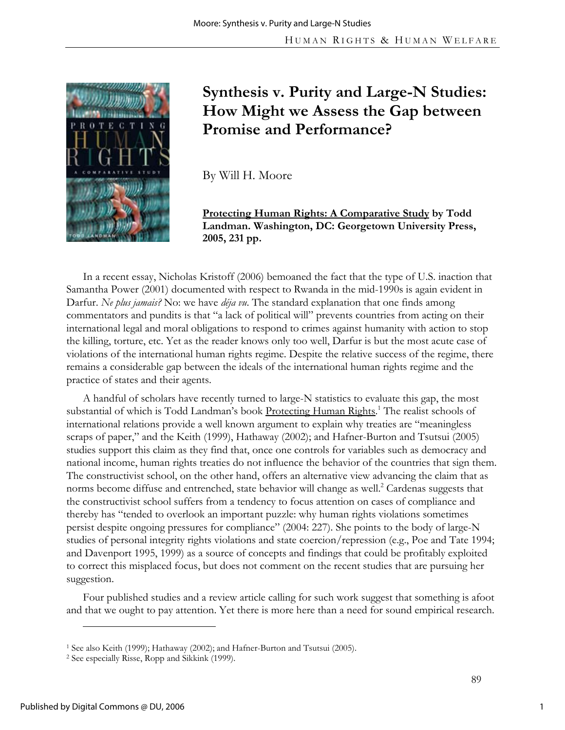

# **Synthesis v. Purity and Large-N Studies: How Might we Assess the Gap between Promise and Performance?**

By Will H. Moore

**Protecting Human Rights: A Comparative Study by Todd Landman. Washington, DC: Georgetown University Press, 2005, 231 pp.** 

In a recent essay, Nicholas Kristoff (2006) bemoaned the fact that the type of U.S. inaction that Samantha Power (2001) documented with respect to Rwanda in the mid-1990s is again evident in Darfur. *Ne plus jamais?* No: we have *déja vu*. The standard explanation that one finds among commentators and pundits is that "a lack of political will" prevents countries from acting on their international legal and moral obligations to respond to crimes against humanity with action to stop the killing, torture, etc. Yet as the reader knows only too well, Darfur is but the most acute case of violations of the international human rights regime. Despite the relative success of the regime, there remains a considerable gap between the ideals of the international human rights regime and the practice of states and their agents.

A handful of scholars have recently turned to large-N statistics to evaluate this gap, the most substantial of which is Todd Landman's book Protecting Human Rights.<sup>1</sup> The realist schools of international relations provide a well known argument to explain why treaties are "meaningless scraps of paper," and the Keith (1999), Hathaway (2002); and Hafner-Burton and Tsutsui (2005) studies support this claim as they find that, once one controls for variables such as democracy and national income, human rights treaties do not influence the behavior of the countries that sign them. The constructivist school, on the other hand, offers an alternative view advancing the claim that as norms become diffuse and entrenched, state behavior will change as well.<sup>2</sup> Cardenas suggests that the constructivist school suffers from a tendency to focus attention on cases of compliance and thereby has "tended to overlook an important puzzle: why human rights violations sometimes persist despite ongoing pressures for compliance" (2004: 227). She points to the body of large-N studies of personal integrity rights violations and state coercion/repression (e.g., Poe and Tate 1994; and Davenport 1995, 1999) as a source of concepts and findings that could be profitably exploited to correct this misplaced focus, but does not comment on the recent studies that are pursuing her suggestion.

Four published studies and a review article calling for such work suggest that something is afoot and that we ought to pay attention. Yet there is more here than a need for sound empirical research.

 $\overline{a}$ 

<sup>&</sup>lt;sup>1</sup> See also Keith (1999); Hathaway (2002); and Hafner-Burton and Tsutsui (2005).<br><sup>2</sup> See especially Risse, Ropp and Sikkink (1999).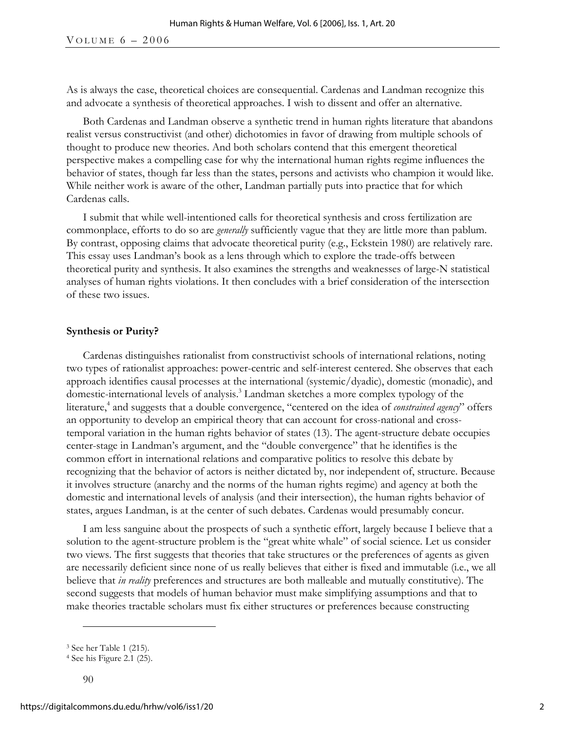As is always the case, theoretical choices are consequential. Cardenas and Landman recognize this and advocate a synthesis of theoretical approaches. I wish to dissent and offer an alternative.

Both Cardenas and Landman observe a synthetic trend in human rights literature that abandons realist versus constructivist (and other) dichotomies in favor of drawing from multiple schools of thought to produce new theories. And both scholars contend that this emergent theoretical perspective makes a compelling case for why the international human rights regime influences the behavior of states, though far less than the states, persons and activists who champion it would like. While neither work is aware of the other, Landman partially puts into practice that for which Cardenas calls.

I submit that while well-intentioned calls for theoretical synthesis and cross fertilization are commonplace, efforts to do so are *generally* sufficiently vague that they are little more than pablum. By contrast, opposing claims that advocate theoretical purity (e.g., Eckstein 1980) are relatively rare. This essay uses Landman's book as a lens through which to explore the trade-offs between theoretical purity and synthesis. It also examines the strengths and weaknesses of large-N statistical analyses of human rights violations. It then concludes with a brief consideration of the intersection of these two issues.

#### **Synthesis or Purity?**

Cardenas distinguishes rationalist from constructivist schools of international relations, noting two types of rationalist approaches: power-centric and self-interest centered. She observes that each approach identifies causal processes at the international (systemic/dyadic), domestic (monadic), and domestic-international levels of analysis.<sup>3</sup> Landman sketches a more complex typology of the literature,<sup>4</sup> and suggests that a double convergence, "centered on the idea of *constrained agency*" offers an opportunity to develop an empirical theory that can account for cross-national and crosstemporal variation in the human rights behavior of states (13). The agent-structure debate occupies center-stage in Landman's argument, and the "double convergence" that he identifies is the common effort in international relations and comparative politics to resolve this debate by recognizing that the behavior of actors is neither dictated by, nor independent of, structure. Because it involves structure (anarchy and the norms of the human rights regime) and agency at both the domestic and international levels of analysis (and their intersection), the human rights behavior of states, argues Landman, is at the center of such debates. Cardenas would presumably concur.

I am less sanguine about the prospects of such a synthetic effort, largely because I believe that a solution to the agent-structure problem is the "great white whale" of social science. Let us consider two views. The first suggests that theories that take structures or the preferences of agents as given are necessarily deficient since none of us really believes that either is fixed and immutable (i.e., we all believe that *in reality* preferences and structures are both malleable and mutually constitutive). The second suggests that models of human behavior must make simplifying assumptions and that to make theories tractable scholars must fix either structures or preferences because constructing

-

<sup>3</sup> See her Table 1 (215).

<sup>4</sup> See his Figure 2.1 (25).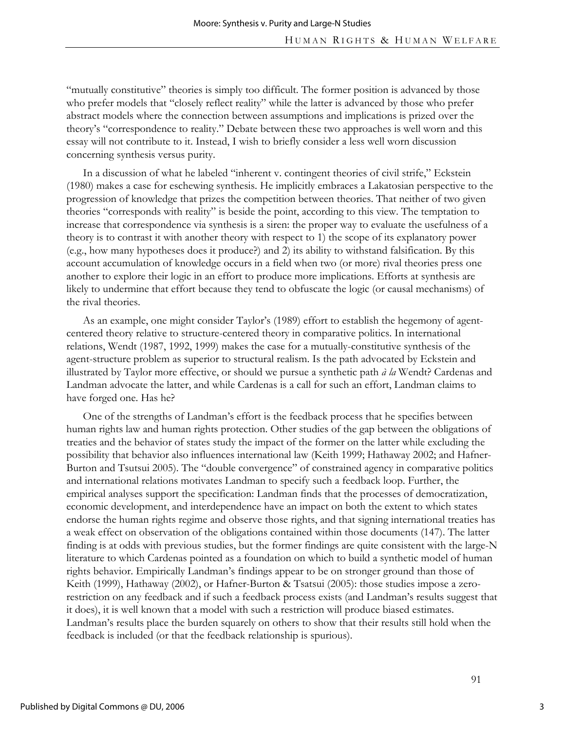"mutually constitutive" theories is simply too difficult. The former position is advanced by those who prefer models that "closely reflect reality" while the latter is advanced by those who prefer abstract models where the connection between assumptions and implications is prized over the theory's "correspondence to reality." Debate between these two approaches is well worn and this essay will not contribute to it. Instead, I wish to briefly consider a less well worn discussion concerning synthesis versus purity.

In a discussion of what he labeled "inherent v. contingent theories of civil strife," Eckstein (1980) makes a case for eschewing synthesis. He implicitly embraces a Lakatosian perspective to the progression of knowledge that prizes the competition between theories. That neither of two given theories "corresponds with reality" is beside the point, according to this view. The temptation to increase that correspondence via synthesis is a siren: the proper way to evaluate the usefulness of a theory is to contrast it with another theory with respect to 1) the scope of its explanatory power (e.g., how many hypotheses does it produce?) and 2) its ability to withstand falsification. By this account accumulation of knowledge occurs in a field when two (or more) rival theories press one another to explore their logic in an effort to produce more implications. Efforts at synthesis are likely to undermine that effort because they tend to obfuscate the logic (or causal mechanisms) of the rival theories.

As an example, one might consider Taylor's (1989) effort to establish the hegemony of agentcentered theory relative to structure-centered theory in comparative politics. In international relations, Wendt (1987, 1992, 1999) makes the case for a mutually-constitutive synthesis of the agent-structure problem as superior to structural realism. Is the path advocated by Eckstein and illustrated by Taylor more effective, or should we pursue a synthetic path *à la* Wendt? Cardenas and Landman advocate the latter, and while Cardenas is a call for such an effort, Landman claims to have forged one. Has he?

One of the strengths of Landman's effort is the feedback process that he specifies between human rights law and human rights protection. Other studies of the gap between the obligations of treaties and the behavior of states study the impact of the former on the latter while excluding the possibility that behavior also influences international law (Keith 1999; Hathaway 2002; and Hafner-Burton and Tsutsui 2005). The "double convergence" of constrained agency in comparative politics and international relations motivates Landman to specify such a feedback loop. Further, the empirical analyses support the specification: Landman finds that the processes of democratization, economic development, and interdependence have an impact on both the extent to which states endorse the human rights regime and observe those rights, and that signing international treaties has a weak effect on observation of the obligations contained within those documents (147). The latter finding is at odds with previous studies, but the former findings are quite consistent with the large-N literature to which Cardenas pointed as a foundation on which to build a synthetic model of human rights behavior. Empirically Landman's findings appear to be on stronger ground than those of Keith (1999), Hathaway (2002), or Hafner-Burton & Tsatsui (2005): those studies impose a zerorestriction on any feedback and if such a feedback process exists (and Landman's results suggest that it does), it is well known that a model with such a restriction will produce biased estimates. Landman's results place the burden squarely on others to show that their results still hold when the feedback is included (or that the feedback relationship is spurious).

3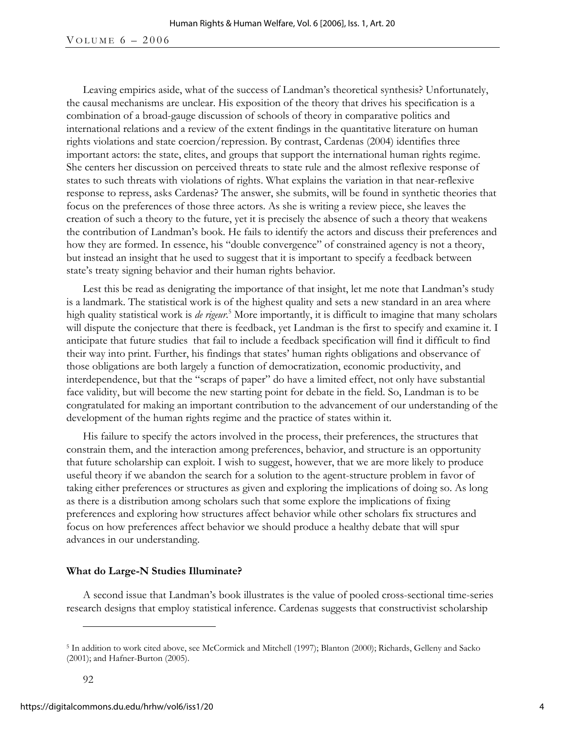#### VOLUME  $6 - 2006$

Leaving empirics aside, what of the success of Landman's theoretical synthesis? Unfortunately, the causal mechanisms are unclear. His exposition of the theory that drives his specification is a combination of a broad-gauge discussion of schools of theory in comparative politics and international relations and a review of the extent findings in the quantitative literature on human rights violations and state coercion/repression. By contrast, Cardenas (2004) identifies three important actors: the state, elites, and groups that support the international human rights regime. She centers her discussion on perceived threats to state rule and the almost reflexive response of states to such threats with violations of rights. What explains the variation in that near-reflexive response to repress, asks Cardenas? The answer, she submits, will be found in synthetic theories that focus on the preferences of those three actors. As she is writing a review piece, she leaves the creation of such a theory to the future, yet it is precisely the absence of such a theory that weakens the contribution of Landman's book. He fails to identify the actors and discuss their preferences and how they are formed. In essence, his "double convergence" of constrained agency is not a theory, but instead an insight that he used to suggest that it is important to specify a feedback between state's treaty signing behavior and their human rights behavior.

Lest this be read as denigrating the importance of that insight, let me note that Landman's study is a landmark. The statistical work is of the highest quality and sets a new standard in an area where high quality statistical work is *de rigeur*. 5 More importantly, it is difficult to imagine that many scholars will dispute the conjecture that there is feedback, yet Landman is the first to specify and examine it. I anticipate that future studies that fail to include a feedback specification will find it difficult to find their way into print. Further, his findings that states' human rights obligations and observance of those obligations are both largely a function of democratization, economic productivity, and interdependence, but that the "scraps of paper" do have a limited effect, not only have substantial face validity, but will become the new starting point for debate in the field. So, Landman is to be congratulated for making an important contribution to the advancement of our understanding of the development of the human rights regime and the practice of states within it.

His failure to specify the actors involved in the process, their preferences, the structures that constrain them, and the interaction among preferences, behavior, and structure is an opportunity that future scholarship can exploit. I wish to suggest, however, that we are more likely to produce useful theory if we abandon the search for a solution to the agent-structure problem in favor of taking either preferences or structures as given and exploring the implications of doing so. As long as there is a distribution among scholars such that some explore the implications of fixing preferences and exploring how structures affect behavior while other scholars fix structures and focus on how preferences affect behavior we should produce a healthy debate that will spur advances in our understanding.

### **What do Large-N Studies Illuminate?**

A second issue that Landman's book illustrates is the value of pooled cross-sectional time-series research designs that employ statistical inference. Cardenas suggests that constructivist scholarship

 $\overline{a}$ 

<sup>5</sup> In addition to work cited above, see McCormick and Mitchell (1997); Blanton (2000); Richards, Gelleny and Sacko (2001); and Hafner-Burton (2005).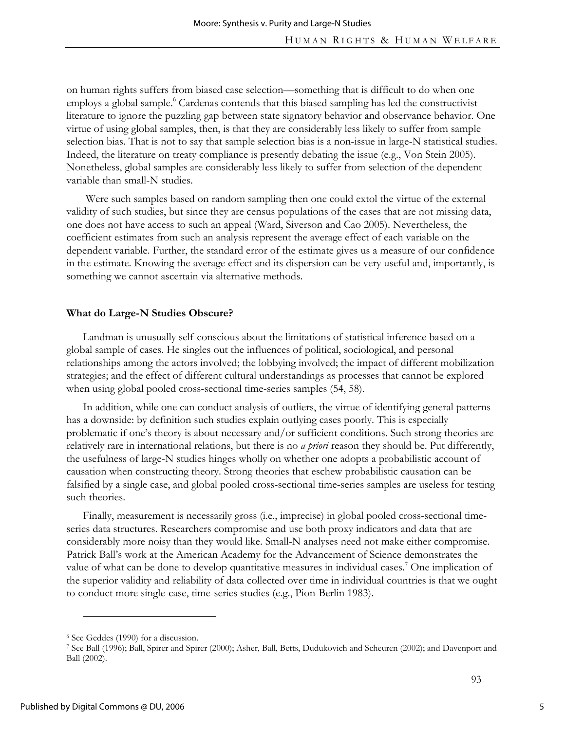on human rights suffers from biased case selection—something that is difficult to do when one employs a global sample.<sup>6</sup> Cardenas contends that this biased sampling has led the constructivist literature to ignore the puzzling gap between state signatory behavior and observance behavior. One virtue of using global samples, then, is that they are considerably less likely to suffer from sample selection bias. That is not to say that sample selection bias is a non-issue in large-N statistical studies. Indeed, the literature on treaty compliance is presently debating the issue (e.g., Von Stein 2005). Nonetheless, global samples are considerably less likely to suffer from selection of the dependent variable than small-N studies.

 Were such samples based on random sampling then one could extol the virtue of the external validity of such studies, but since they are census populations of the cases that are not missing data, one does not have access to such an appeal (Ward, Siverson and Cao 2005). Nevertheless, the coefficient estimates from such an analysis represent the average effect of each variable on the dependent variable. Further, the standard error of the estimate gives us a measure of our confidence in the estimate. Knowing the average effect and its dispersion can be very useful and, importantly, is something we cannot ascertain via alternative methods.

#### **What do Large-N Studies Obscure?**

Landman is unusually self-conscious about the limitations of statistical inference based on a global sample of cases. He singles out the influences of political, sociological, and personal relationships among the actors involved; the lobbying involved; the impact of different mobilization strategies; and the effect of different cultural understandings as processes that cannot be explored when using global pooled cross-sectional time-series samples (54, 58).

In addition, while one can conduct analysis of outliers, the virtue of identifying general patterns has a downside: by definition such studies explain outlying cases poorly. This is especially problematic if one's theory is about necessary and/or sufficient conditions. Such strong theories are relatively rare in international relations, but there is no *a priori* reason they should be. Put differently, the usefulness of large-N studies hinges wholly on whether one adopts a probabilistic account of causation when constructing theory. Strong theories that eschew probabilistic causation can be falsified by a single case, and global pooled cross-sectional time-series samples are useless for testing such theories.

Finally, measurement is necessarily gross (i.e., imprecise) in global pooled cross-sectional timeseries data structures. Researchers compromise and use both proxy indicators and data that are considerably more noisy than they would like. Small-N analyses need not make either compromise. Patrick Ball's work at the American Academy for the Advancement of Science demonstrates the value of what can be done to develop quantitative measures in individual cases.<sup>7</sup> One implication of the superior validity and reliability of data collected over time in individual countries is that we ought to conduct more single-case, time-series studies (e.g., Pion-Berlin 1983).

-

<sup>&</sup>lt;sup>6</sup> See Geddes (1990) for a discussion.<br><sup>7</sup> See Ball (1996); Ball, Spirer and Spirer (2000); Asher, Ball, Betts, Dudukovich and Scheuren (2002); and Davenport and Ball (2002).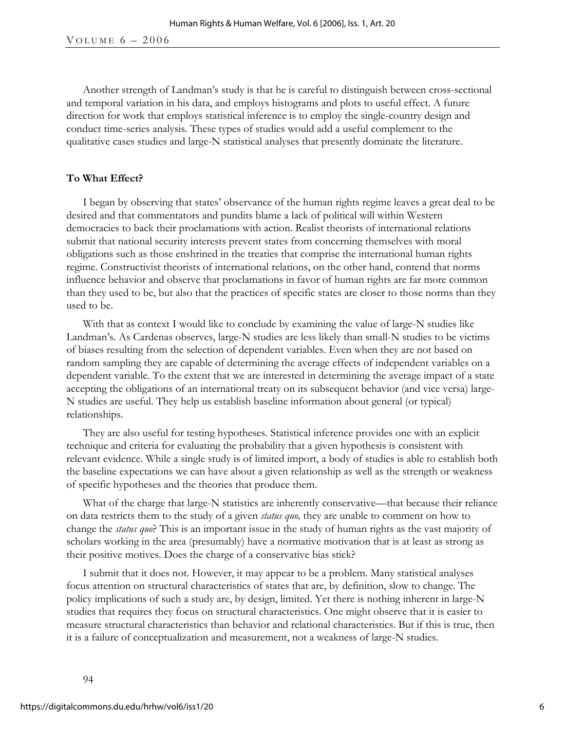Another strength of Landman's study is that he is careful to distinguish between cross-sectional and temporal variation in his data, and employs histograms and plots to useful effect. A future direction for work that employs statistical inference is to employ the single-country design and conduct time-series analysis. These types of studies would add a useful complement to the qualitative cases studies and large-N statistical analyses that presently dominate the literature.

### **To What Effect?**

I began by observing that states' observance of the human rights regime leaves a great deal to be desired and that commentators and pundits blame a lack of political will within Western democracies to back their proclamations with action. Realist theorists of international relations submit that national security interests prevent states from concerning themselves with moral obligations such as those enshrined in the treaties that comprise the international human rights regime. Constructivist theorists of international relations, on the other hand, contend that norms influence behavior and observe that proclamations in favor of human rights are far more common than they used to be, but also that the practices of specific states are closer to those norms than they used to be.

With that as context I would like to conclude by examining the value of large-N studies like Landman's. As Cardenas observes, large-N studies are less likely than small-N studies to be victims of biases resulting from the selection of dependent variables. Even when they are not based on random sampling they are capable of determining the average effects of independent variables on a dependent variable. To the extent that we are interested in determining the average impact of a state accepting the obligations of an international treaty on its subsequent behavior (and vice versa) large-N studies are useful. They help us establish baseline information about general (or typical) relationships.

They are also useful for testing hypotheses. Statistical inference provides one with an explicit technique and criteria for evaluating the probability that a given hypothesis is consistent with relevant evidence. While a single study is of limited import, a body of studies is able to establish both the baseline expectations we can have about a given relationship as well as the strength or weakness of specific hypotheses and the theories that produce them.

What of the charge that large-N statistics are inherently conservative—that because their reliance on data restricts them to the study of a given *status quo,* they are unable to comment on how to change the *status quo*? This is an important issue in the study of human rights as the vast majority of scholars working in the area (presumably) have a normative motivation that is at least as strong as their positive motives. Does the charge of a conservative bias stick?

I submit that it does not. However, it may appear to be a problem. Many statistical analyses focus attention on structural characteristics of states that are, by definition, slow to change. The policy implications of such a study are, by design, limited. Yet there is nothing inherent in large-N studies that requires they focus on structural characteristics. One might observe that it is easier to measure structural characteristics than behavior and relational characteristics. But if this is true, then it is a failure of conceptualization and measurement, not a weakness of large-N studies.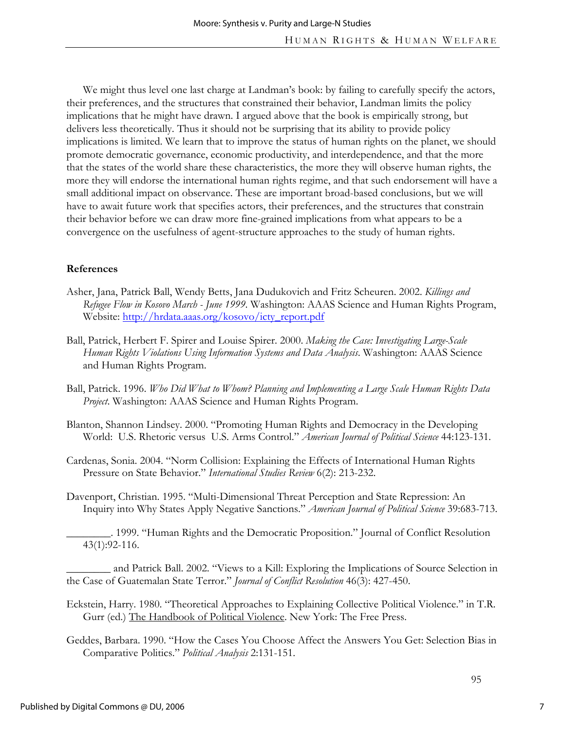We might thus level one last charge at Landman's book: by failing to carefully specify the actors, their preferences, and the structures that constrained their behavior, Landman limits the policy implications that he might have drawn. I argued above that the book is empirically strong, but delivers less theoretically. Thus it should not be surprising that its ability to provide policy implications is limited. We learn that to improve the status of human rights on the planet, we should promote democratic governance, economic productivity, and interdependence, and that the more that the states of the world share these characteristics, the more they will observe human rights, the more they will endorse the international human rights regime, and that such endorsement will have a small additional impact on observance. These are important broad-based conclusions, but we will have to await future work that specifies actors, their preferences, and the structures that constrain their behavior before we can draw more fine-grained implications from what appears to be a convergence on the usefulness of agent-structure approaches to the study of human rights.

### **References**

- Asher, Jana, Patrick Ball, Wendy Betts, Jana Dudukovich and Fritz Scheuren. 2002. *Killings and Refugee Flow in Kosovo March - June 1999*. Washington: AAAS Science and Human Rights Program, Website: http://hrdata.aaas.org/kosovo/icty\_report.pdf
- Ball, Patrick, Herbert F. Spirer and Louise Spirer. 2000. *Making the Case: Investigating Large-Scale Human Rights Violations Using Information Systems and Data Analysis*. Washington: AAAS Science and Human Rights Program.
- Ball, Patrick. 1996. *Who Did What to Whom? Planning and Implementing a Large Scale Human Rights Data Project*. Washington: AAAS Science and Human Rights Program.
- Blanton, Shannon Lindsey. 2000. "Promoting Human Rights and Democracy in the Developing World: U.S. Rhetoric versus U.S. Arms Control." *American Journal of Political Science* 44:123-131.
- Cardenas, Sonia. 2004. "Norm Collision: Explaining the Effects of International Human Rights Pressure on State Behavior." *International Studies Review* 6(2): 213-232.
- Davenport, Christian. 1995. "Multi-Dimensional Threat Perception and State Repression: An Inquiry into Why States Apply Negative Sanctions." *American Journal of Political Science* 39:683-713.

\_\_\_\_\_\_\_\_. 1999. "Human Rights and the Democratic Proposition." Journal of Conflict Resolution 43(1):92-116.

and Patrick Ball. 2002. "Views to a Kill: Exploring the Implications of Source Selection in the Case of Guatemalan State Terror." *Journal of Conflict Resolution* 46(3): 427-450.

- Eckstein, Harry. 1980. "Theoretical Approaches to Explaining Collective Political Violence." in T.R. Gurr (ed.) The Handbook of Political Violence. New York: The Free Press.
- Geddes, Barbara. 1990. "How the Cases You Choose Affect the Answers You Get: Selection Bias in Comparative Politics." *Political Analysis* 2:131-151.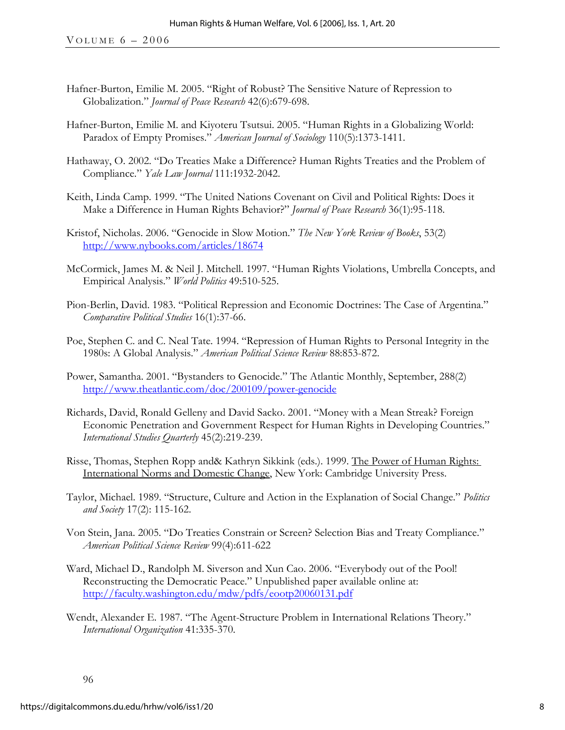- Hafner-Burton, Emilie M. 2005. "Right of Robust? The Sensitive Nature of Repression to Globalization." *Journal of Peace Research* 42(6):679-698.
- Hafner-Burton, Emilie M. and Kiyoteru Tsutsui. 2005. "Human Rights in a Globalizing World: Paradox of Empty Promises." *American Journal of Sociology* 110(5):1373-1411.
- Hathaway, O. 2002. "Do Treaties Make a Difference? Human Rights Treaties and the Problem of Compliance." *Yale Law Journal* 111:1932-2042.
- Keith, Linda Camp. 1999. "The United Nations Covenant on Civil and Political Rights: Does it Make a Difference in Human Rights Behavior?" *Journal of Peace Research* 36(1):95-118.
- Kristof, Nicholas. 2006. "Genocide in Slow Motion." *The New York Review of Books*, 53(2) http://www.nybooks.com/articles/18674
- McCormick, James M. & Neil J. Mitchell. 1997. "Human Rights Violations, Umbrella Concepts, and Empirical Analysis." *World Politics* 49:510-525.
- Pion-Berlin, David. 1983. "Political Repression and Economic Doctrines: The Case of Argentina." *Comparative Political Studies* 16(1):37-66.
- Poe, Stephen C. and C. Neal Tate. 1994. "Repression of Human Rights to Personal Integrity in the 1980s: A Global Analysis." *American Political Science Review* 88:853-872.
- Power, Samantha. 2001. "Bystanders to Genocide." The Atlantic Monthly, September, 288(2) http://www.theatlantic.com/doc/200109/power-genocide
- Richards, David, Ronald Gelleny and David Sacko. 2001. "Money with a Mean Streak? Foreign Economic Penetration and Government Respect for Human Rights in Developing Countries." *International Studies Quarterly* 45(2):219-239.
- Risse, Thomas, Stephen Ropp and& Kathryn Sikkink (eds.). 1999. The Power of Human Rights: International Norms and Domestic Change, New York: Cambridge University Press.
- Taylor, Michael. 1989. "Structure, Culture and Action in the Explanation of Social Change." *Politics and Society* 17(2): 115-162.
- Von Stein, Jana. 2005. "Do Treaties Constrain or Screen? Selection Bias and Treaty Compliance." *American Political Science Review* 99(4):611-622
- Ward, Michael D., Randolph M. Siverson and Xun Cao. 2006. "Everybody out of the Pool! Reconstructing the Democratic Peace." Unpublished paper available online at: http://faculty.washington.edu/mdw/pdfs/eootp20060131.pdf
- Wendt, Alexander E. 1987. "The Agent-Structure Problem in International Relations Theory." *International Organization* 41:335-370.